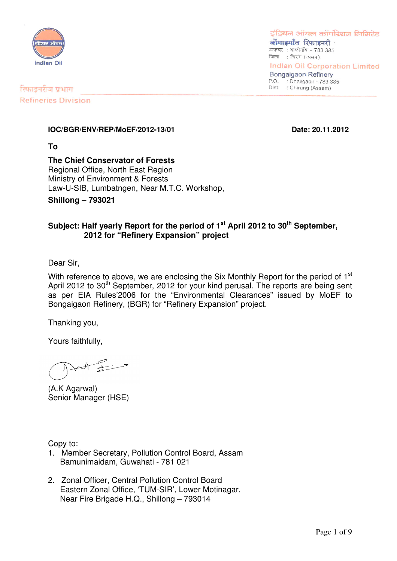

इंडियन ऑयल कॉर्पोरेशन लिमिटेड बोंगाडगाँव रिफाइनरी

डाकघर: धालीगाँव - 783 385 जिला : चिरांग (असम)

**Indian Oil Corporation Limited** 

**Bongaigaon Refinery** P.O. : Dhaligaon - 783 385 Dist. : Chirang (Assam)

रिफाइनरीज प्रभाग **Refineries Division** 

#### **IOC/BGR/ENV/REP/MoEF/2012-13/01 Date: 20.11.2012**

**To**

### **The Chief Conservator of Forests**

Regional Office, North East Region Ministry of Environment & Forests Law-U-SIB, Lumbatngen, Near M.T.C. Workshop,

**Shillong – 793021**

#### **Subject: Half yearly Report for the period of 1 st April 2012 to 30 th September, 2012 for "Refinery Expansion" project**

Dear Sir,

With reference to above, we are enclosing the Six Monthly Report for the period of  $1<sup>st</sup>$ April 2012 to 30<sup>th</sup> September, 2012 for your kind perusal. The reports are being sent as per EIA Rules'2006 for the "Environmental Clearances" issued by MoEF to Bongaigaon Refinery, (BGR) for "Refinery Expansion" project.

Thanking you,

Yours faithfully,

(A.K Agarwal) Senior Manager (HSE)

Copy to:

- 1. Member Secretary, Pollution Control Board, Assam Bamunimaidam, Guwahati - 781 021
- 2. Zonal Officer, Central Pollution Control Board Eastern Zonal Office, 'TUM-SIR', Lower Motinagar, Near Fire Brigade H.Q., Shillong – 793014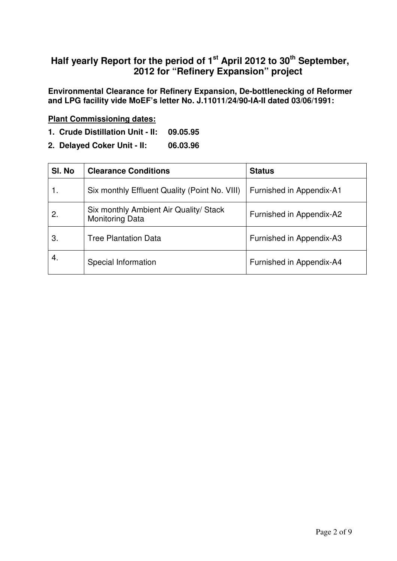### **Half yearly Report for the period of 1 st April 2012 to 30 th September, 2012 for "Refinery Expansion" project**

**Environmental Clearance for Refinery Expansion, De-bottlenecking of Reformer and LPG facility vide MoEF's letter No. J.11011/24/90-IA-II dated 03/06/1991:**

#### **Plant Commissioning dates:**

- **1. Crude Distillation Unit - II: 09.05.95**
- **2. Delayed Coker Unit - II: 06.03.96**

| SI. No | <b>Clearance Conditions</b>                                      | <b>Status</b>            |
|--------|------------------------------------------------------------------|--------------------------|
|        | Six monthly Effluent Quality (Point No. VIII)                    | Furnished in Appendix-A1 |
| 2.     | Six monthly Ambient Air Quality/ Stack<br><b>Monitoring Data</b> | Furnished in Appendix-A2 |
| З.     | <b>Tree Plantation Data</b>                                      | Furnished in Appendix-A3 |
| 4.     | Special Information                                              | Furnished in Appendix-A4 |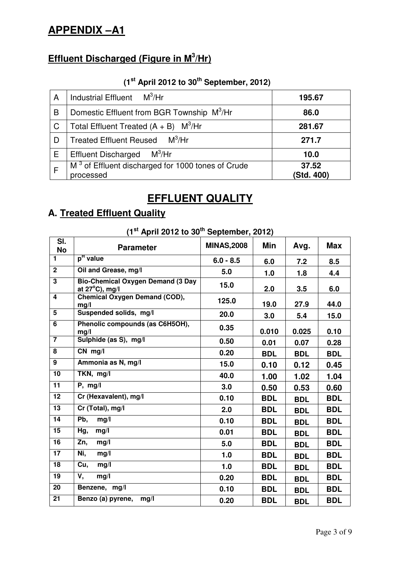# **APPENDIX –A1**

# **Effluent Discharged (Figure in M 3 /Hr)**

### **(1 st April 2012 to 30 th September, 2012)**

| A | Industrial Effluent $M^3/Hr$                                               | 195.67              |
|---|----------------------------------------------------------------------------|---------------------|
| B | Domestic Effluent from BGR Township M <sup>3</sup> /Hr                     | 86.0                |
| C | Total Effluent Treated $(A + B)$ M <sup>3</sup> /Hr                        | 281.67              |
| D | Treated Effluent Reused M <sup>3</sup> /Hr                                 | 271.7               |
| Е | $\mathsf{M}^3\!/\!\mathsf{H}\mathsf{r}$<br><b>Effluent Discharged</b>      | 10.0                |
|   | M <sup>3</sup> of Effluent discharged for 1000 tones of Crude<br>processed | 37.52<br>(Std. 400) |

# **EFFLUENT QUALITY**

# **A. Treated Effluent Quality**

| $(1st$ April 2012 to 30 <sup>th</sup> September, 2012) |                                                                      |                    |            |            |            |  |  |  |  |
|--------------------------------------------------------|----------------------------------------------------------------------|--------------------|------------|------------|------------|--|--|--|--|
| SI.<br><b>No</b>                                       | <b>Parameter</b>                                                     | <b>MINAS, 2008</b> | Min        | Avg.       | <b>Max</b> |  |  |  |  |
| $\blacksquare$                                         | p <sup>H</sup> value                                                 | $6.0 - 8.5$        | 6.0        | 7.2        | 8.5        |  |  |  |  |
| $\overline{2}$                                         | Oil and Grease, mg/l                                                 | 5.0                | 1.0        | 1.8        | 4.4        |  |  |  |  |
| $\overline{\mathbf{3}}$                                | <b>Bio-Chemical Oxygen Demand (3 Day</b><br>at $27^{\circ}$ C), mg/l | 15.0               | 2.0        | 3.5        | 6.0        |  |  |  |  |
| $\overline{\mathbf{4}}$                                | <b>Chemical Oxygen Demand (COD),</b><br>mg/l                         | 125.0              | 19.0       | 27.9       | 44.0       |  |  |  |  |
| $\overline{5}$                                         | Suspended solids, mg/l                                               | 20.0               | 3.0        | 5.4        | 15.0       |  |  |  |  |
| 6                                                      | Phenolic compounds (as C6H5OH),<br>mg/l                              | 0.35               | 0.010      | 0.025      | 0.10       |  |  |  |  |
| $\overline{7}$                                         | Sulphide (as S), mg/l                                                | 0.50               | 0.01       | 0.07       | 0.28       |  |  |  |  |
| $\overline{8}$                                         | $CN$ mg/l                                                            | 0.20               | <b>BDL</b> | <b>BDL</b> | <b>BDL</b> |  |  |  |  |
| $\overline{9}$                                         | Ammonia as N, mg/l                                                   | 15.0               | 0.10       | 0.12       | 0.45       |  |  |  |  |
| 10                                                     | TKN, mg/l                                                            | 40.0               | 1.00       | 1.02       | 1.04       |  |  |  |  |
| $\overline{11}$                                        | $P$ , mg/l                                                           | 3.0                | 0.50       | 0.53       | 0.60       |  |  |  |  |
| 12                                                     | Cr (Hexavalent), mg/l                                                | 0.10               | <b>BDL</b> | <b>BDL</b> | <b>BDL</b> |  |  |  |  |
| $\overline{13}$                                        | Cr (Total), mg/l                                                     | 2.0                | <b>BDL</b> | <b>BDL</b> | <b>BDL</b> |  |  |  |  |
| 14                                                     | Pb,<br>mg/l                                                          | 0.10               | <b>BDL</b> | <b>BDL</b> | <b>BDL</b> |  |  |  |  |
| 15                                                     | Hg,<br>mg/l                                                          | 0.01               | <b>BDL</b> | <b>BDL</b> | <b>BDL</b> |  |  |  |  |
| 16                                                     | Zn,<br>mg/l                                                          | 5.0                | <b>BDL</b> | <b>BDL</b> | <b>BDL</b> |  |  |  |  |
| 17                                                     | Ni,<br>mg/l                                                          | 1.0                | <b>BDL</b> | <b>BDL</b> | <b>BDL</b> |  |  |  |  |
| $\overline{18}$                                        | Cu,<br>mg/l                                                          | 1.0                | <b>BDL</b> | <b>BDL</b> | <b>BDL</b> |  |  |  |  |
| 19                                                     | V,<br>mg/l                                                           | 0.20               | <b>BDL</b> | <b>BDL</b> | <b>BDL</b> |  |  |  |  |
| $\overline{20}$                                        | Benzene, mg/l                                                        | 0.10               | <b>BDL</b> | <b>BDL</b> | <b>BDL</b> |  |  |  |  |
| $\overline{21}$                                        | Benzo (a) pyrene,<br>mg/l                                            | 0.20               | <b>BDL</b> | <b>BDL</b> | <b>BDL</b> |  |  |  |  |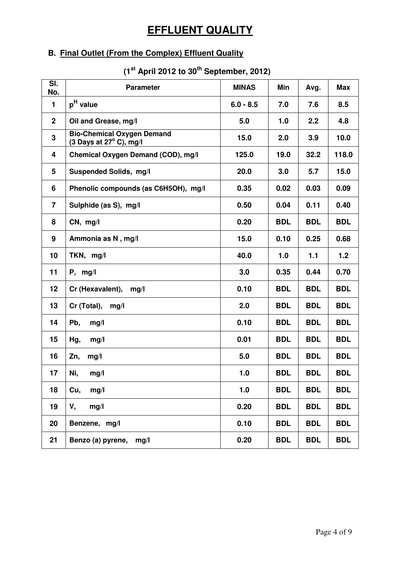# **EFFLUENT QUALITY**

## **B. Final Outlet (From the Complex) Effluent Quality**

#### **(1 st April 2012 to 30 th September, 2012)**

| $\overline{\mathsf{SI}}$ .<br>No. | <b>Parameter</b>                                                      | <b>MINAS</b> | Min        | Avg.       | <b>Max</b> |
|-----------------------------------|-----------------------------------------------------------------------|--------------|------------|------------|------------|
| $\mathbf{1}$                      | p <sup>H</sup> value                                                  | $6.0 - 8.5$  | 7.0        | 7.6        | 8.5        |
| 2 <sup>1</sup>                    | Oil and Grease, mg/l                                                  | 5.0          | 1.0        | 2.2        | 4.8        |
| $\overline{\mathbf{3}}$           | <b>Bio-Chemical Oxygen Demand</b><br>(3 Days at $27^{\circ}$ C), mg/l | 15.0         | 2.0        | 3.9        | 10.0       |
| 4                                 | Chemical Oxygen Demand (COD), mg/l                                    | 125.0        | 19.0       | 32.2       | 118.0      |
| 5                                 | Suspended Solids, mg/l                                                | 20.0         | 3.0        | 5.7        | 15.0       |
| 6                                 | Phenolic compounds (as C6H5OH), mg/l                                  | 0.35         | 0.02       | 0.03       | 0.09       |
| $\overline{7}$                    | Sulphide (as S), mg/l                                                 | 0.50         | 0.04       | 0.11       | 0.40       |
| 8                                 | CN, mg/l                                                              | 0.20         | <b>BDL</b> | <b>BDL</b> | <b>BDL</b> |
| 9                                 | Ammonia as N, mg/l                                                    | 15.0         | 0.10       | 0.25       | 0.68       |
| 10                                | TKN, mg/l                                                             | 40.0         | 1.0        | 1.1        | 1.2        |
| 11                                | $P$ , mg/l                                                            | 3.0          | 0.35       | 0.44       | 0.70       |
| 12                                | Cr (Hexavalent),<br>mg/l                                              | 0.10         | <b>BDL</b> | <b>BDL</b> | <b>BDL</b> |
| 13                                | Cr (Total),<br>mg/l                                                   | 2.0          | <b>BDL</b> | <b>BDL</b> | <b>BDL</b> |
| 14                                | Pb,<br>mg/l                                                           | 0.10         | <b>BDL</b> | <b>BDL</b> | <b>BDL</b> |
| 15                                | Hg,<br>mg/l                                                           | 0.01         | <b>BDL</b> | <b>BDL</b> | <b>BDL</b> |
| 16                                | Zn,<br>mg/l                                                           | 5.0          | <b>BDL</b> | <b>BDL</b> | <b>BDL</b> |
| 17                                | Ni,<br>mg/l                                                           | 1.0          | <b>BDL</b> | <b>BDL</b> | <b>BDL</b> |
| 18                                | mg/l<br>Cu,                                                           | 1.0          | <b>BDL</b> | <b>BDL</b> | <b>BDL</b> |
| 19                                | V,<br>mg/l                                                            | 0.20         | <b>BDL</b> | <b>BDL</b> | <b>BDL</b> |
| 20                                | Benzene, mg/l                                                         | 0.10         | <b>BDL</b> | <b>BDL</b> | <b>BDL</b> |
| 21                                | Benzo (a) pyrene, mg/l                                                | 0.20         | <b>BDL</b> | <b>BDL</b> | <b>BDL</b> |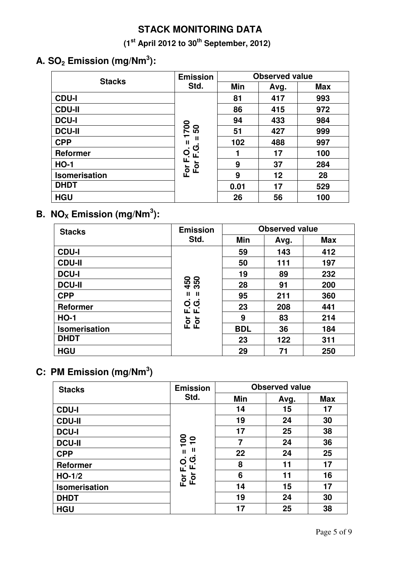## **STACK MONITORING DATA**

**(1 st April 2012 to 30 th September, 2012)**

# **A. SO<sup>2</sup> Emission (mg/Nm 3 ):**

| <b>Stacks</b>        | <b>Emission</b>                  | <b>Observed value</b> |      |            |  |  |
|----------------------|----------------------------------|-----------------------|------|------------|--|--|
|                      | Std.                             | <b>Min</b>            | Avg. | <b>Max</b> |  |  |
| <b>CDU-I</b>         |                                  | 81                    | 417  | 993        |  |  |
| <b>CDU-II</b>        |                                  | 86                    | 415  | 972        |  |  |
| <b>DCU-I</b>         |                                  | 94                    | 433  | 984        |  |  |
| <b>DCU-II</b>        | <b>DOZ</b><br>ნ0<br>$\mathbf{H}$ | 51                    | 427  | 999        |  |  |
| <b>CPP</b>           |                                  | 102                   | 488  | 997        |  |  |
| <b>Reformer</b>      | ပ<br>$\overline{O}$<br>ட         |                       | 17   | 100        |  |  |
| <b>HO-1</b>          | щ<br>$\circ$                     | 9                     | 37   | 284        |  |  |
| <b>Isomerisation</b> | For<br>ட்                        | 9                     | 12   | 28         |  |  |
| <b>DHDT</b>          |                                  | 0.01                  | 17   | 529        |  |  |
| <b>HGU</b>           |                                  | 26                    | 56   | 100        |  |  |

## **B.**  $NO_{\text{X}}$  **Emission** (mg/Nm<sup>3</sup>):

| <b>Stacks</b>        | <b>Emission</b> | <b>Observed value</b> |      |            |  |  |
|----------------------|-----------------|-----------------------|------|------------|--|--|
|                      | Std.            | Min                   | Avg. | <b>Max</b> |  |  |
| <b>CDU-I</b>         |                 | 59                    | 143  | 412        |  |  |
| <b>CDU-II</b>        |                 | 50                    | 111  | 197        |  |  |
| <b>DCU-I</b>         |                 | 19                    | 89   | 232        |  |  |
| <b>DCU-II</b>        | 350<br>450      | 28                    | 91   | 200        |  |  |
| <b>CPP</b>           | Ш<br>-II        | 95                    | 211  | 360        |  |  |
| <b>Reformer</b>      | U<br>Q<br>யியி  | 23                    | 208  | 441        |  |  |
| <b>HO-1</b>          | For<br>For      | 9                     | 83   | 214        |  |  |
| <b>Isomerisation</b> |                 | <b>BDL</b>            | 36   | 184        |  |  |
| <b>DHDT</b>          |                 | 23                    | 122  | 311        |  |  |
| <b>HGU</b>           |                 | 29                    | 71   | 250        |  |  |

### **C: PM Emission (mg/Nm 3 )**

| <b>Stacks</b>   | <b>Emission</b>                   | <b>Observed value</b> |      |            |  |  |
|-----------------|-----------------------------------|-----------------------|------|------------|--|--|
|                 | Std.                              | Min                   | Avg. | <b>Max</b> |  |  |
| <b>CDU-I</b>    |                                   | 14                    | 15   | 17         |  |  |
| <b>CDU-II</b>   |                                   | 19                    | 24   | 30         |  |  |
| <b>DCU-I</b>    |                                   | 17                    | 25   | 38         |  |  |
| <b>DCU-II</b>   | $\overline{100}$<br>$\frac{1}{1}$ | 7                     | 24   | 36         |  |  |
| <b>CPP</b>      | Ш<br>$\mathbf{H}$                 | 22                    | 24   | 25         |  |  |
| <b>Reformer</b> | ပ<br>O.<br>L                      | 8                     | 11   | 17         |  |  |
| $HO-1/2$        | For F.<br>For F                   | 6                     | 11   | 16         |  |  |
| Isomerisation   |                                   | 14                    | 15   | 17         |  |  |
| <b>DHDT</b>     |                                   | 19                    | 24   | 30         |  |  |
| <b>HGU</b>      |                                   | 17                    | 25   | 38         |  |  |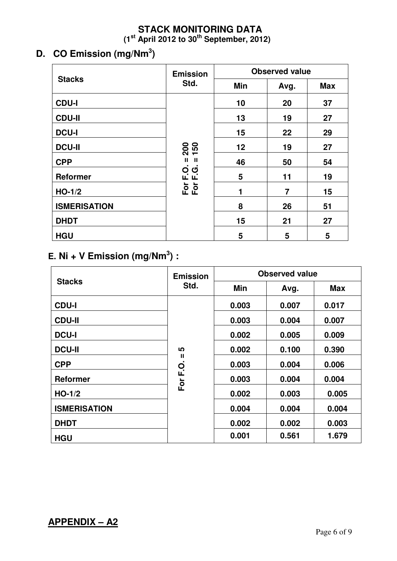### **STACK MONITORING DATA (1 st April 2012 to 30 th September, 2012)**

# **D. CO Emission (mg/Nm 3 )**

|                     | <b>Emission</b>   | <b>Observed value</b> |      |            |  |  |
|---------------------|-------------------|-----------------------|------|------------|--|--|
| <b>Stacks</b>       | Std.              | <b>Min</b>            | Avg. | <b>Max</b> |  |  |
| <b>CDU-I</b>        |                   | 10                    | 20   | 37         |  |  |
| <b>CDU-II</b>       |                   | 13                    | 19   | 27         |  |  |
| <b>DCU-I</b>        |                   | 15                    | 22   | 29         |  |  |
| <b>DCU-II</b>       | 200<br>150        | 12                    | 19   | 27         |  |  |
| <b>CPP</b>          | Ш<br>$\mathbf{H}$ | 46                    | 50   | 54         |  |  |
| <b>Reformer</b>     | O G<br>L L<br>ပ   | 5                     | 11   | 19         |  |  |
| $HO-1/2$            | För<br>För        | 1                     | 7    | 15         |  |  |
| <b>ISMERISATION</b> |                   | 8                     | 26   | 51         |  |  |
| <b>DHDT</b>         |                   | 15                    | 21   | 27         |  |  |
| <b>HGU</b>          |                   | 5                     | 5    | 5          |  |  |

### **E. Ni + V Emission (mg/Nm 3 ) :**

|                     | <b>Emission</b> | <b>Observed value</b> |       |            |  |  |  |
|---------------------|-----------------|-----------------------|-------|------------|--|--|--|
| <b>Stacks</b>       | Std.            | <b>Min</b>            | Avg.  | <b>Max</b> |  |  |  |
| <b>CDU-I</b>        |                 | 0.003                 | 0.007 | 0.017      |  |  |  |
| <b>CDU-II</b>       |                 | 0.003                 | 0.004 | 0.007      |  |  |  |
| <b>DCU-I</b>        |                 | 0.002                 | 0.005 | 0.009      |  |  |  |
| <b>DCU-II</b>       | ທ               | 0.002                 | 0.100 | 0.390      |  |  |  |
| <b>CPP</b>          | Ш<br>O.<br>E.C  | 0.003                 | 0.004 | 0.006      |  |  |  |
| <b>Reformer</b>     | For             | 0.003                 | 0.004 | 0.004      |  |  |  |
| $HO-1/2$            |                 | 0.002                 | 0.003 | 0.005      |  |  |  |
| <b>ISMERISATION</b> |                 | 0.004                 | 0.004 | 0.004      |  |  |  |
| <b>DHDT</b>         |                 | 0.002                 | 0.002 | 0.003      |  |  |  |
| <b>HGU</b>          |                 | 0.001                 | 0.561 | 1.679      |  |  |  |

### **APPENDIX – A2**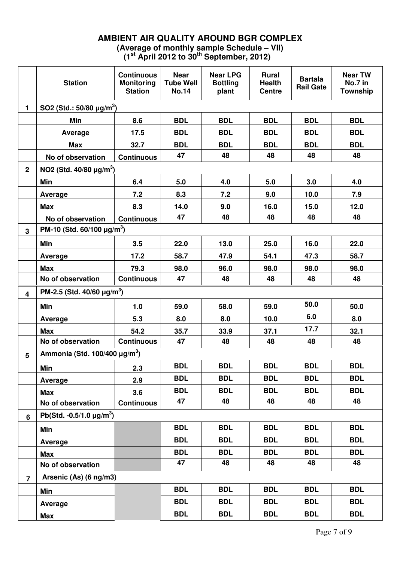### **AMBIENT AIR QUALITY AROUND BGR COMPLEX (Average of monthly sample Schedule – VII)**

**(1 st April 2012 to 30 th September, 2012)**

|                         | <b>Station</b>                                 | <b>Continuous</b><br><b>Monitoring</b><br><b>Station</b> | <b>Near</b><br><b>Tube Well</b><br><b>No.14</b> | <b>Near LPG</b><br><b>Bottling</b><br>plant | <b>Rural</b><br><b>Health</b><br><b>Centre</b> | <b>Bartala</b><br><b>Rail Gate</b> | <b>Near TW</b><br>No.7 in<br><b>Township</b> |
|-------------------------|------------------------------------------------|----------------------------------------------------------|-------------------------------------------------|---------------------------------------------|------------------------------------------------|------------------------------------|----------------------------------------------|
| $\mathbf{1}$            | SO2 (Std.: $50/80 \mu g/m^3$ )                 |                                                          |                                                 |                                             |                                                |                                    |                                              |
|                         | Min                                            | 8.6                                                      | <b>BDL</b>                                      | <b>BDL</b>                                  | <b>BDL</b>                                     | <b>BDL</b>                         | <b>BDL</b>                                   |
|                         | Average                                        | 17.5                                                     | <b>BDL</b>                                      | <b>BDL</b>                                  | <b>BDL</b>                                     | <b>BDL</b>                         | <b>BDL</b>                                   |
|                         | <b>Max</b>                                     | 32.7                                                     | <b>BDL</b>                                      | <b>BDL</b>                                  | <b>BDL</b>                                     | <b>BDL</b>                         | <b>BDL</b>                                   |
|                         | No of observation                              | <b>Continuous</b>                                        | 47                                              | 48                                          | 48                                             | 48                                 | 48                                           |
| $\mathbf 2$             | NO2 (Std. $40/80 \mu g/m^3$ )                  |                                                          |                                                 |                                             |                                                |                                    |                                              |
|                         | <b>Min</b>                                     | 6.4                                                      | 5.0                                             | 4.0                                         | 5.0                                            | 3.0                                | 4.0                                          |
|                         | Average                                        | 7.2                                                      | 8.3                                             | 7.2                                         | 9.0                                            | 10.0                               | 7.9                                          |
|                         | <b>Max</b>                                     | 8.3                                                      | 14.0                                            | 9.0                                         | 16.0                                           | 15.0                               | 12.0                                         |
|                         | No of observation                              | <b>Continuous</b>                                        | 47                                              | 48                                          | 48                                             | 48                                 | 48                                           |
| 3                       | PM-10 (Std. $60/100 \mu g/m^3$ )               |                                                          |                                                 |                                             |                                                |                                    |                                              |
|                         | Min                                            | 3.5                                                      | 22.0                                            | 13.0                                        | 25.0                                           | 16.0                               | 22.0                                         |
|                         | Average                                        | 17.2                                                     | 58.7                                            | 47.9                                        | 54.1                                           | 47.3                               | 58.7                                         |
|                         | <b>Max</b>                                     | 79.3                                                     | 98.0                                            | 96.0                                        | 98.0                                           | 98.0                               | 98.0                                         |
|                         | No of observation                              | <b>Continuous</b>                                        | 47                                              | 48                                          | 48                                             | 48                                 | 48                                           |
| $\overline{\mathbf{4}}$ | PM-2.5 (Std. 40/60 $\mu$ g/m <sup>3</sup> )    |                                                          |                                                 |                                             |                                                |                                    |                                              |
|                         | Min                                            | 1.0                                                      | 59.0                                            | 58.0                                        | 59.0                                           | 50.0                               | 50.0                                         |
|                         | Average                                        | 5.3                                                      | 8.0                                             | 8.0                                         | 10.0                                           | 6.0                                | 8.0                                          |
|                         | <b>Max</b>                                     | 54.2                                                     | 35.7                                            | 33.9                                        | 37.1                                           | 17.7                               | 32.1                                         |
|                         | No of observation                              | <b>Continuous</b>                                        | 47                                              | 48                                          | 48                                             | 48                                 | 48                                           |
| 5                       | Ammonia (Std. 100/400 $\mu$ g/m <sup>3</sup> ) |                                                          |                                                 |                                             |                                                |                                    |                                              |
|                         | Min                                            | 2.3                                                      | BDL                                             | <b>BDL</b>                                  | <b>BDL</b>                                     | <b>BDL</b>                         | <b>BDL</b>                                   |
|                         | Average                                        | 2.9                                                      | <b>BDL</b>                                      | <b>BDL</b>                                  | <b>BDL</b>                                     | <b>BDL</b>                         | <b>BDL</b>                                   |
|                         | <b>Max</b>                                     | 3.6                                                      | <b>BDL</b>                                      | <b>BDL</b>                                  | <b>BDL</b>                                     | <b>BDL</b>                         | <b>BDL</b>                                   |
|                         | No of observation                              | <b>Continuous</b>                                        | 47                                              | 48                                          | 48                                             | 48                                 | 48                                           |
| $6\phantom{a}$          | Pb(Std. -0.5/1.0 $\mu$ g/m <sup>3</sup> )      |                                                          |                                                 |                                             |                                                |                                    |                                              |
|                         | Min                                            |                                                          | <b>BDL</b>                                      | <b>BDL</b>                                  | <b>BDL</b>                                     | <b>BDL</b>                         | <b>BDL</b>                                   |
|                         | Average                                        |                                                          | <b>BDL</b>                                      | <b>BDL</b>                                  | <b>BDL</b>                                     | <b>BDL</b>                         | <b>BDL</b>                                   |
|                         | <b>Max</b>                                     |                                                          | <b>BDL</b>                                      | <b>BDL</b>                                  | <b>BDL</b>                                     | <b>BDL</b>                         | <b>BDL</b>                                   |
|                         | No of observation                              |                                                          | 47                                              | 48                                          | 48                                             | 48                                 | 48                                           |
| $\overline{7}$          | Arsenic $(As)$ (6 ng/m3)                       |                                                          |                                                 |                                             |                                                |                                    |                                              |
|                         | Min                                            |                                                          | <b>BDL</b>                                      | <b>BDL</b>                                  | <b>BDL</b>                                     | <b>BDL</b>                         | <b>BDL</b>                                   |
|                         | Average                                        |                                                          | <b>BDL</b>                                      | <b>BDL</b>                                  | <b>BDL</b>                                     | <b>BDL</b>                         | <b>BDL</b>                                   |
|                         | Max                                            |                                                          | <b>BDL</b>                                      | <b>BDL</b>                                  | <b>BDL</b>                                     | <b>BDL</b>                         | <b>BDL</b>                                   |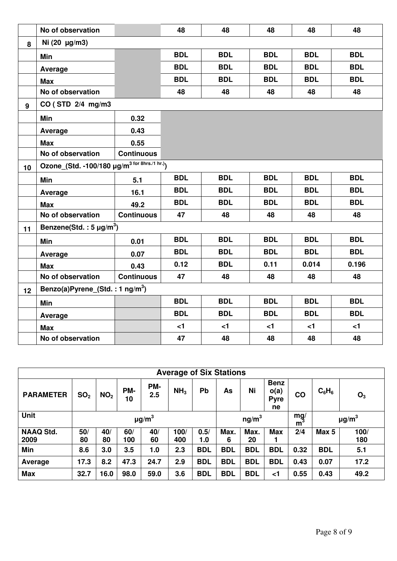|    | No of observation                                         |                   | 48         | 48         | 48         | 48         | 48         |
|----|-----------------------------------------------------------|-------------------|------------|------------|------------|------------|------------|
| 8  | Ni (20 µg/m3)                                             |                   |            |            |            |            |            |
|    | Min                                                       |                   | <b>BDL</b> | <b>BDL</b> | <b>BDL</b> | <b>BDL</b> | <b>BDL</b> |
|    | Average                                                   |                   | <b>BDL</b> | <b>BDL</b> | <b>BDL</b> | <b>BDL</b> | <b>BDL</b> |
|    | <b>Max</b>                                                |                   | <b>BDL</b> | <b>BDL</b> | <b>BDL</b> | <b>BDL</b> | <b>BDL</b> |
|    | No of observation                                         |                   | 48         | 48         | 48         | 48         | 48         |
| 9  | CO (STD 2/4 mg/m3                                         |                   |            |            |            |            |            |
|    | Min                                                       | 0.32              |            |            |            |            |            |
|    | Average                                                   | 0.43              |            |            |            |            |            |
|    | <b>Max</b>                                                | 0.55              |            |            |            |            |            |
|    | No of observation                                         | <b>Continuous</b> |            |            |            |            |            |
| 10 | Ozone_(Std. -100/180 µg/m <sup>3 for 8hrs./1 hr.)</sup> ) |                   |            |            |            |            |            |
|    | Min                                                       | 5.1               | <b>BDL</b> | <b>BDL</b> | <b>BDL</b> | <b>BDL</b> | <b>BDL</b> |
|    | Average                                                   | 16.1              | <b>BDL</b> | <b>BDL</b> | <b>BDL</b> | <b>BDL</b> | <b>BDL</b> |
|    | <b>Max</b>                                                | 49.2              | <b>BDL</b> | <b>BDL</b> | <b>BDL</b> | <b>BDL</b> | <b>BDL</b> |
|    | No of observation                                         | <b>Continuous</b> | 47         | 48         | 48         | 48         | 48         |
| 11 | Benzene(Std.: $5 \mu g/m^3$ )                             |                   |            |            |            |            |            |
|    | Min                                                       | 0.01              | <b>BDL</b> | <b>BDL</b> | <b>BDL</b> | <b>BDL</b> | <b>BDL</b> |
|    | Average                                                   | 0.07              | <b>BDL</b> | <b>BDL</b> | <b>BDL</b> | <b>BDL</b> | <b>BDL</b> |
|    | <b>Max</b>                                                | 0.43              | 0.12       | <b>BDL</b> | 0.11       | 0.014      | 0.196      |
|    | No of observation                                         | <b>Continuous</b> | 47         | 48         | 48         | 48         | 48         |
| 12 | Benzo(a)Pyrene_(Std.: 1 ng/m <sup>3</sup> )               |                   |            |            |            |            |            |
|    | Min                                                       |                   | <b>BDL</b> | <b>BDL</b> | <b>BDL</b> | <b>BDL</b> | <b>BDL</b> |
|    | Average                                                   |                   | <b>BDL</b> | <b>BDL</b> | <b>BDL</b> | <b>BDL</b> | <b>BDL</b> |
|    | <b>Max</b>                                                |                   | $<$ 1      | $<$ 1      | $<$ 1      | $\leq$ 1   | $\leq$ 1   |
|    | No of observation                                         |                   | 47         | 48         | 48         | 48         | 48         |

| <b>Average of Six Stations</b> |                        |                 |           |            |                 |            |                   |            |                                          |               |            |                        |
|--------------------------------|------------------------|-----------------|-----------|------------|-----------------|------------|-------------------|------------|------------------------------------------|---------------|------------|------------------------|
| <b>PARAMETER</b>               | SO <sub>2</sub>        | NO <sub>2</sub> | PM-<br>10 | PM-<br>2.5 | NH <sub>3</sub> | Pb         | As                | Ni         | <b>Benz</b><br>o(a)<br><b>Pyre</b><br>ne | $\mathbf{CO}$ | $C_6H_6$   | $O_3$                  |
| <b>Unit</b>                    | $\mu$ g/m <sup>3</sup> |                 |           |            |                 |            | ng/m <sup>3</sup> |            |                                          | mg/<br>m      |            | $\mu$ g/m <sup>3</sup> |
| <b>NAAQ Std.</b>               | 50/                    | 40/             | 60/       | 40/        | 100/            | 0.5/       | Max.              | Max.       | <b>Max</b>                               | 2/4           | Max 5      | 100/                   |
| 2009                           | 80                     | 80              | 100       | 60         | 400             | 1.0        | 6                 | 20         |                                          |               |            | 180                    |
| Min                            | 8.6                    | 3.0             | 3.5       | 1.0        | 2.3             | <b>BDL</b> | <b>BDL</b>        | <b>BDL</b> | <b>BDL</b>                               | 0.32          | <b>BDL</b> | 5.1                    |
| Average                        | 17.3                   | 8.2             | 47.3      | 24.7       | 2.9             | <b>BDL</b> | <b>BDL</b>        | <b>BDL</b> | <b>BDL</b>                               | 0.43          | 0.07       | 17.2                   |
| <b>Max</b>                     | 32.7                   | 16.0            | 98.0      | 59.0       | 3.6             | <b>BDL</b> | <b>BDL</b>        | <b>BDL</b> | ا>                                       | 0.55          | 0.43       | 49.2                   |